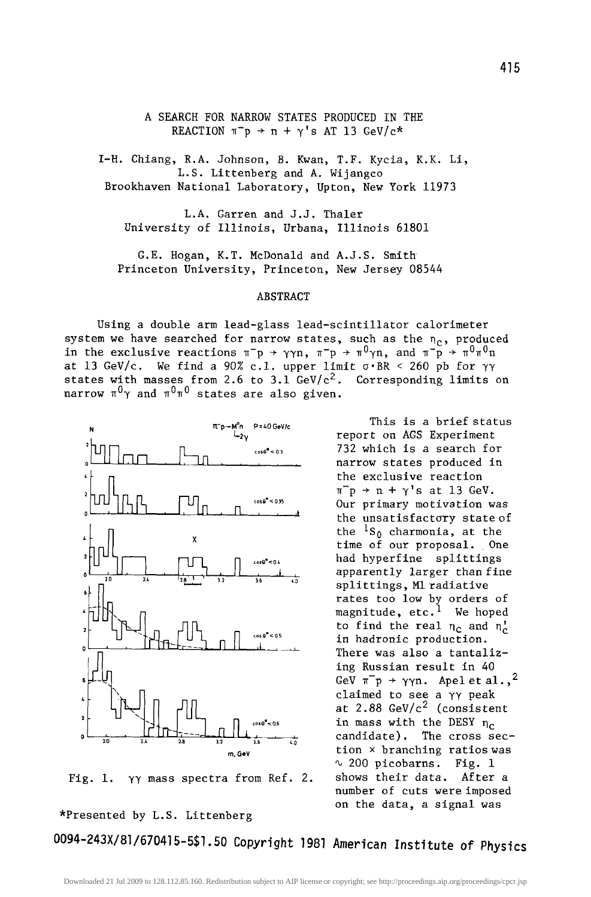A SEARCH FOR NARROW STATES PRODUCED IN THE REACTION  $\pi^-p \rightarrow n + \gamma' s$  AT 13 GeV/c\*

I-H. Chiang, R.A. Johnson, B. Kwan, T.F. Kycia, K.K. Li, L.S. Littenberg and A. Wijangco Brookhaven National Laboratory, Upton, New York 11973

L.A. Garren and J.J. Thaler University of Illinois, Urbana, Illinois 61801

G.E. Hogan, K.T. McDonald and A.J.S. Smith Princeton University, Princeton, New Jersey 08544

## ABSTRACT

Using a double arm lead-glass lead-scintillator calorimeter system we have searched for narrow states, such as the  $n_c$ , produced in the exclusive reactions  $\pi^-p \to \gamma\gamma n$ ,  $\pi^-p \to \pi^0\gamma n$ , and  $\pi^-p \to \pi^0\pi^0 n$ at 13 GeV/c. We find a 90% c.1. upper limit  $\sigma$  BR < 260 pb for  $\gamma\gamma$ states with masses from 2.6 to 3.1 GeV/ $c^2$ . Corresponding limits on narrow  $\pi^0 \gamma$  and  $\pi^0 \pi^0$  states are also given.

> This is a brief status report on AGS Experiment 732 which is a search for narrow states produced in the exclusive reaction  $\pi^-p$   $\rightarrow$   $n$  +  $\gamma$ 's at 13 GeV. Our primary motivation was the unsatisfactory state of the  ${}^{1}S_{0}$  charmonia, at the time of our proposal. One had hyperfine splittings apparently larger than fine splittings, M1 radiative rates too low by orders of magnitude, etc.<sup>1</sup> We hoped to find the real  $\eta_c$  and  $\eta_c^{\dagger}$ in hadronic production. There was also a tantalizing Russian result in 40 GeV  $\pi^-p \rightarrow \gamma \gamma n$ . Apelet al.,<sup>2</sup> claimed to see a yy peak at  $2.88 \text{ GeV/c}^2$  (consistent in mass with the DESY  $n_c$ candidate). The cross section x branching ratios was  $\sim$  200 picobarns. Fig. 1 shows their data. After a number of cuts were imposed on the data, a signal was

Fig. 1.  $\gamma\gamma$  mass spectra from Ref. 2.

\*Presented by L.S. Littenberg

0094-243X/8]/670415-551.50 Copyright ]981 **American Institute of Physics** 

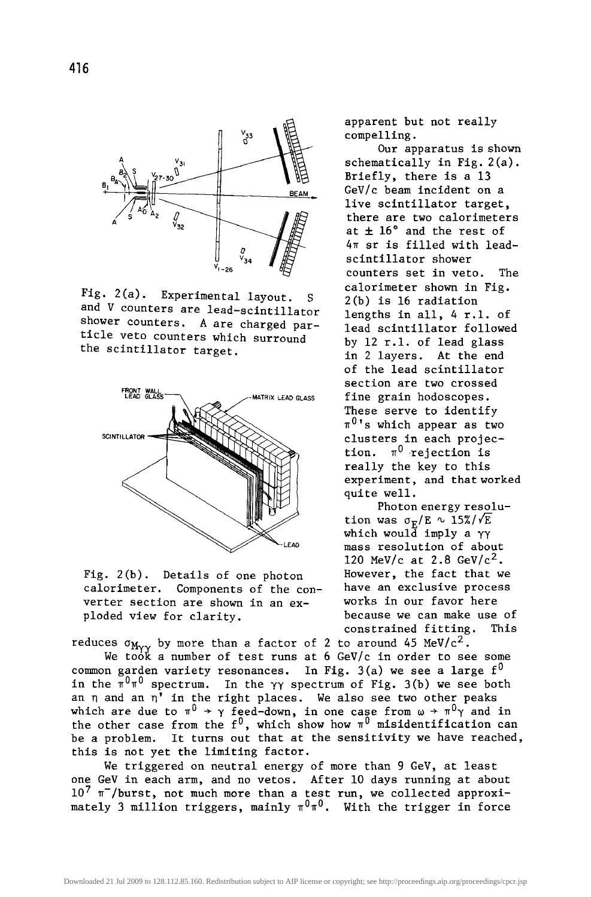

Fig. 2(a). Experimental layout. and V counters are lead-scintillator shower counters. A are charged particle veto counters which surround the scintillator target.



Fig. 2(b). Details of one photon calorimeter. Components of the converter section are shown in an exploded view for clarity.

reduces  $\sigma_{M_{\gamma\gamma}}$  by more than a factor of 2 to around 45 MeV/c<sup>2</sup>. We took a number of test runs at 6 GeV/c in order to see some common garden variety resonances. In Fig. 3(a) we see a large  $f^0$ in the  $\pi^0\pi^0$  spectrum. In the  $\gamma\gamma$  spectrum of Fig. 3(b) we see both an  $\eta$  and an  $\eta'$  in the right places. We also see two other peaks which are due to  $\pi^0$   $\rightarrow$   $\gamma$  feed-down, in one case from  $\omega$   $\rightarrow$   $\pi^0\gamma$  and in the other case from the  $f^0$ , which show how  $\pi^0$  misidentification can be a problem. It turns out that at the sensitivity we have reached, this is not yet the limiting factor.

We triggered on neutral energy of more than 9 GeV, at least one GeV in each arm, and no vetos. After i0 days running at about  $10^7$   $\pi^-$ /burst, not much more than a test run, we collected approximately 3 million triggers, mainly  $\pi^0\pi^0$ . With the trigger in force

apparent but not really compelling.

Our apparatus is shown schematically in Fig. 2(a). Briefly, there is a 13 GeV/c beam incident on a live scintillator target, there are two calorimeters at  $\pm$  16° and the rest of 4T sr is filled with leadscintillator shower counters set in veto. The calorimeter shown in Fig. 2(b) is 16 radiation lengths in all, 4 r.l. of lead scintillator followed by 12 r.l. of lead glass in 2 layers. At the end of the lead scintillator section are two crossed fine grain hodoscopes. These serve to identify  $\pi^{0}$ 's which appear as two clusters in each projection.  $\pi^0$  rejection is really the key to this experiment, and that worked quite well.

Photon energy resolution was  $\sigma_{\rm E}/{\rm E} \sim 15\%/\sqrt{\rm E}$ which would imply a  $\gamma\gamma$ mass resolution of about 120 MeV/c at 2.8 GeV/ $c^2$ . However, the fact that we have an exclusive process works in our favor here because we can make use of constrained fitting. This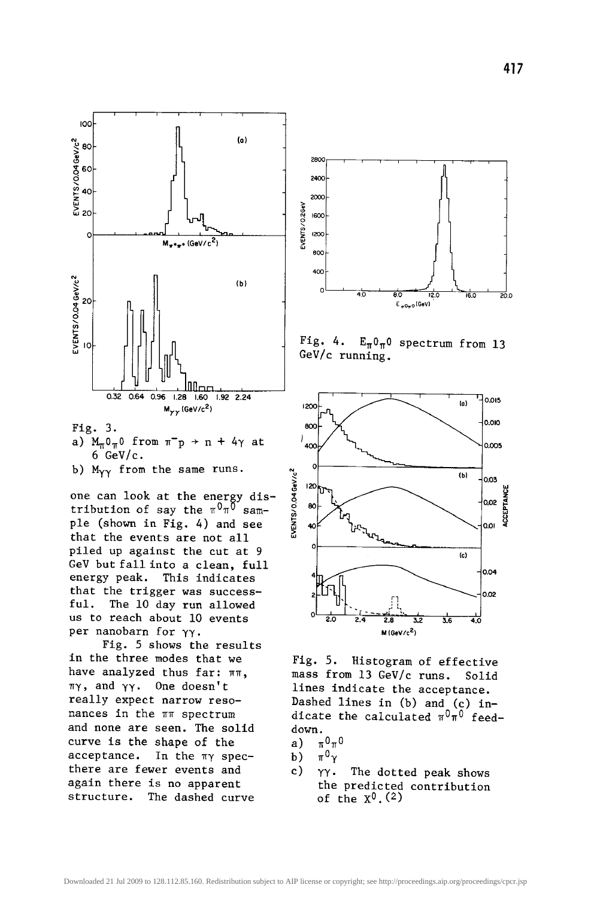

Fig. 3.

- a)  $M_{\pi}0_{\pi}$ 0 from  $\pi^-p \rightarrow n + 4\gamma$  at  $6$  GeV/c.
- b)  $M_{\gamma\gamma}$  from the same runs.

one can look at the energy distribution of say the  $\pi^0\pi^0$  sample (shown in Fig. 4) and see that the events are not all piled up against the cut at 9 GeV but fall into a clean, full energy peak. This indicates that the trigger was successful. The i0 day run allowed us to reach about i0 events per nanobarn for yy.

Fig. 5 shows the results in the three modes that we have analyzed thus far:  $\pi\pi$ ,  $\pi\gamma$ , and  $\gamma\gamma$ . One doesn't really expect narrow resonances in the  $\pi\pi$  spectrum and none are seen. The solid curve is the shape of the  $acceptance.$  In the  $\pi\gamma$  specthere are fewer events and again there is no apparent structure. The dashed curve







Fig. 5. Histogram of effective mass from 13 GeV/c runs. Solid lines indicate the acceptance. Dashed lines in (b) and (c) indicate the calculated  $\pi^0\pi^0$  feeddown.

- a)  $\pi^{0}\pi^{0}$
- b)  $\pi^0 \gamma$
- c) yy. The dotted peak shows the predicted contribution of the  $X^0$ .  $(2)$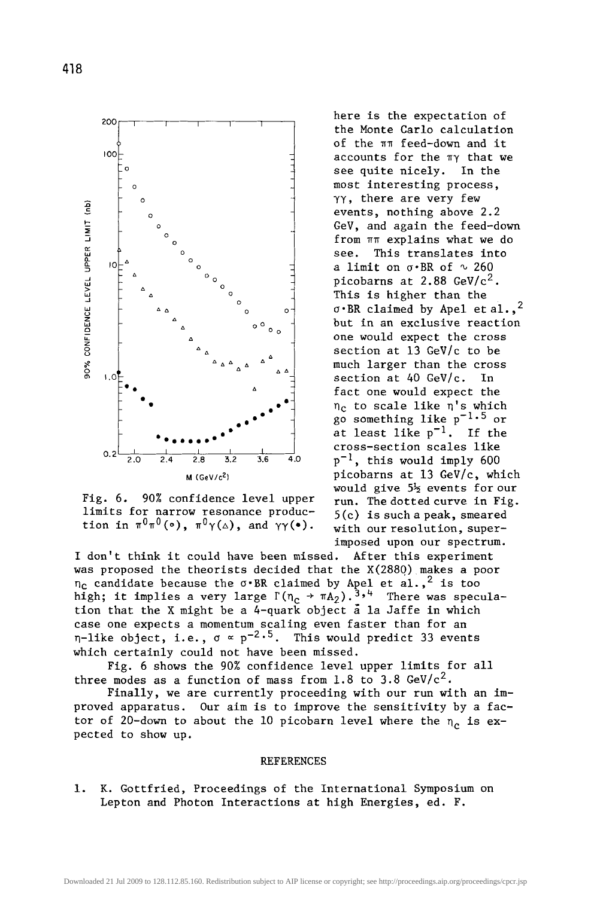

Fig. 6. 90% confidence level upper limits for narrow resonance production in  $\pi^0\pi^0(\circ)$ ,  $\pi^0\gamma(\Delta)$ , and  $\gamma\gamma(\bullet)$ .

here is the expectation of the Monte Carlo calculation of the  $\pi\pi$  feed-down and it accounts for the  $\pi\gamma$  that we see quite nicely. In the most interesting process, YY, there are very few events, nothing above 2.2 GeV, and again the feed-down from  $\pi\pi$  explains what we do see. This translates into a limit on  $\sigma$ .BR of  $\sim$  260 picobarns at  $2.88 \text{ GeV/c}^2$ . This is higher than the  $\sigma$ .BR claimed by Apel et al.,<sup>2</sup> but in an exclusive reaction one would expect the cross section at 13 GeV/c to be much larger than the cross section at 40 GeV/c. In fact one would expect the  $\eta_c$  to scale like  $\eta$ 's which go something like  $p^{-1.5}$  or at least like  $p^{-1}$ . If the cross-section scales like  $p^{-1}$ , this would imply 600 picobarns at 13 GeV/c, which would give 5½ events for our run. The dotted curve in Fig. 5(c) is such a peak, smeared with our resolution, superimposed upon our spectrum.

I don't think it could have been missed. After this experiment was proposed the theorists decided that the X(288Q) makes a poor  $n_c$  candidate because the  $\sigma$ ·BR claimed by Apel et al.,<sup>2</sup> is too high; it implies a very large  $\Gamma(n_c \rightarrow \pi A_2) \cdot 3$ ,<sup>4</sup> There was speculation that the X might be a 4-quark object  $\bar{a}$  la Jaffe in which case one expects a momentum scaling even faster than for an  $\eta$ -like object, i.e.,  $\sigma \propto p^{-2.5}$ . This would predict 33 events which certainly could not have been missed.

Fig. 6 shows the 90% confidence level upper limits for all three modes as a function of mass from 1.8 to 3.8 GeV/ $c^2$ .

Finally, we are currently proceeding with our run with an improved apparatus. Our aim is to improve the sensitivity by a factor of 20-down to about the 10 picobarn level where the  $n_c$  is expected to show up.

## REFERENCES

i. K. Gottfried, Proceedings of the International Symposium on Lepton and Photon Interactions at high Energies, ed. F.